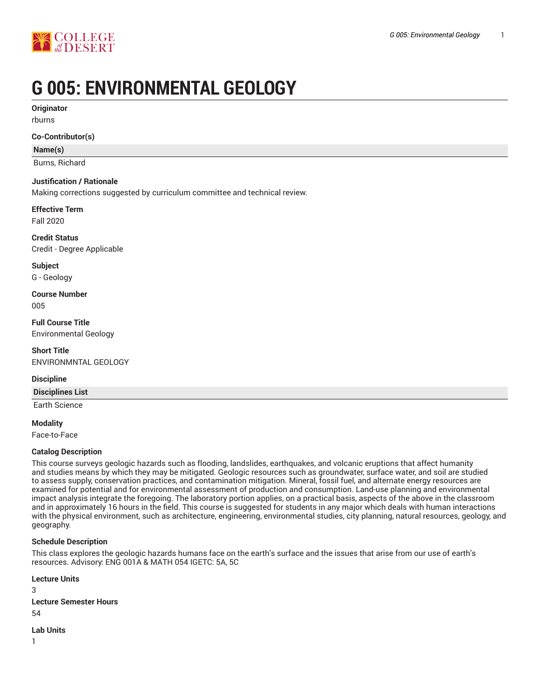

# **G 005: ENVIRONMENTAL GEOLOGY**

**Originator**

rburns

## **Co-Contributor(s)**

## **Name(s)**

Burns, Richard

## **Justification / Rationale**

Making corrections suggested by curriculum committee and technical review.

**Effective Term** Fall 2020

**Credit Status** Credit - Degree Applicable

**Subject** G - Geology

**Course Number** 005

**Full Course Title** Environmental Geology

**Short Title** ENVIRONMNTAL GEOLOGY

## **Discipline**

**Disciplines List**

Earth Science

**Modality**

Face-to-Face

## **Catalog Description**

This course surveys geologic hazards such as flooding, landslides, earthquakes, and volcanic eruptions that affect humanity and studies means by which they may be mitigated. Geologic resources such as groundwater, surface water, and soil are studied to assess supply, conservation practices, and contamination mitigation. Mineral, fossil fuel, and alternate energy resources are examined for potential and for environmental assessment of production and consumption. Land-use planning and environmental impact analysis integrate the foregoing. The laboratory portion applies, on a practical basis, aspects of the above in the classroom and in approximately 16 hours in the field. This course is suggested for students in any major which deals with human interactions with the physical environment, such as architecture, engineering, environmental studies, city planning, natural resources, geology, and geography.

## **Schedule Description**

This class explores the geologic hazards humans face on the earth's surface and the issues that arise from our use of earth's resources. Advisory: ENG 001A & MATH 054 IGETC: 5A, 5C

**Lecture Units** 3 **Lecture Semester Hours** 54

**Lab Units**

1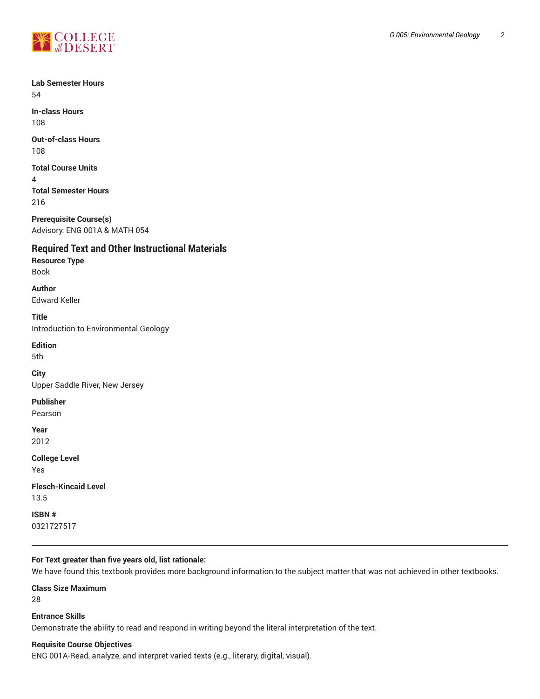

**Lab Semester Hours** 54

**In-class Hours** 108

**Out-of-class Hours** 108

**Total Course Units**

4 **Total Semester Hours** 216

**Prerequisite Course(s)** Advisory: ENG 001A & MATH 054

**Required Text and Other Instructional Materials**

**Resource Type** Book

**Author** Edward Keller

**Title** Introduction to Environmental Geology

**Edition** 5th

**City** Upper Saddle River, New Jersey

**Publisher** Pearson

**Year** 2012

**College Level**

Yes

**Flesch-Kincaid Level** 13.5

**ISBN #** 0321727517

## **For Text greater than five years old, list rationale:**

We have found this textbook provides more background information to the subject matter that was not achieved in other textbooks.

**Class Size Maximum**

28

**Entrance Skills** Demonstrate the ability to read and respond in writing beyond the literal interpretation of the text.

## **Requisite Course Objectives**

ENG 001A-Read, analyze, and interpret varied texts (e.g., literary, digital, visual).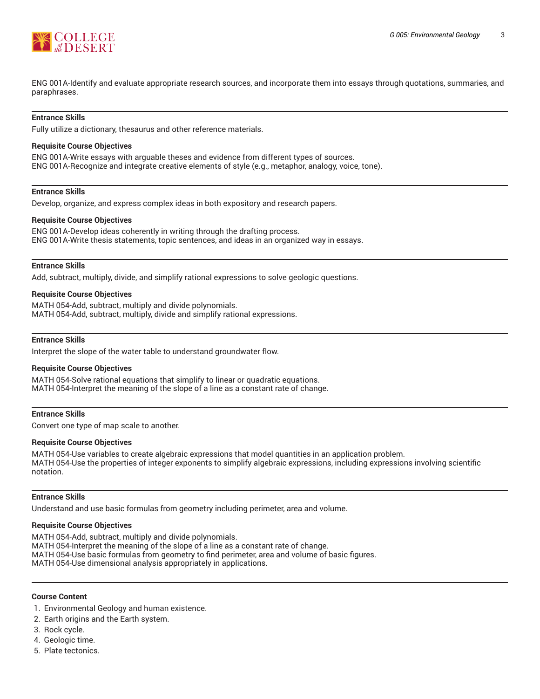

ENG 001A-Identify and evaluate appropriate research sources, and incorporate them into essays through quotations, summaries, and paraphrases.

## **Entrance Skills**

Fully utilize a dictionary, thesaurus and other reference materials.

#### **Requisite Course Objectives**

ENG 001A-Write essays with arguable theses and evidence from different types of sources. ENG 001A-Recognize and integrate creative elements of style (e.g., metaphor, analogy, voice, tone).

#### **Entrance Skills**

Develop, organize, and express complex ideas in both expository and research papers.

#### **Requisite Course Objectives**

ENG 001A-Develop ideas coherently in writing through the drafting process. ENG 001A-Write thesis statements, topic sentences, and ideas in an organized way in essays.

#### **Entrance Skills**

Add, subtract, multiply, divide, and simplify rational expressions to solve geologic questions.

#### **Requisite Course Objectives**

MATH 054-Add, subtract, multiply and divide polynomials. MATH 054-Add, subtract, multiply, divide and simplify rational expressions.

#### **Entrance Skills**

Interpret the slope of the water table to understand groundwater flow.

#### **Requisite Course Objectives**

MATH 054-Solve rational equations that simplify to linear or quadratic equations. MATH 054-Interpret the meaning of the slope of a line as a constant rate of change.

#### **Entrance Skills**

Convert one type of map scale to another.

#### **Requisite Course Objectives**

MATH 054-Use variables to create algebraic expressions that model quantities in an application problem. MATH 054-Use the properties of integer exponents to simplify algebraic expressions, including expressions involving scientific notation.

#### **Entrance Skills**

Understand and use basic formulas from geometry including perimeter, area and volume.

#### **Requisite Course Objectives**

MATH 054-Add, subtract, multiply and divide polynomials.

MATH 054-Interpret the meaning of the slope of a line as a constant rate of change.

MATH 054-Use basic formulas from geometry to find perimeter, area and volume of basic figures.

MATH 054-Use dimensional analysis appropriately in applications.

## **Course Content**

- 1. Environmental Geology and human existence.
- 2. Earth origins and the Earth system.
- 3. Rock cycle.
- 4. Geologic time.
- 5. Plate tectonics.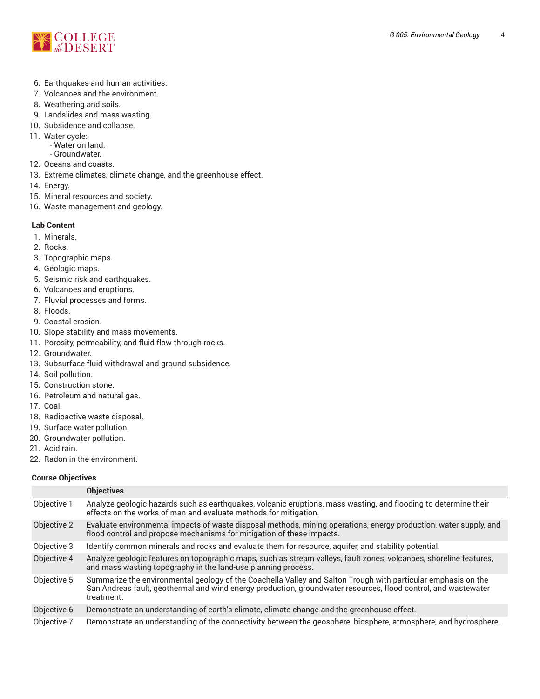

- 6. Earthquakes and human activities.
- 7. Volcanoes and the environment.
- 8. Weathering and soils.
- 9. Landslides and mass wasting.
- 10. Subsidence and collapse.
- 11. Water cycle:
	- Water on land.
	- Groundwater.
- 12. Oceans and coasts.
- 13. Extreme climates, climate change, and the greenhouse effect.
- 14. Energy.
- 15. Mineral resources and society.
- 16. Waste management and geology.

## **Lab Content**

- 1. Minerals.
- 2. Rocks.
- 3. Topographic maps.
- 4. Geologic maps.
- 5. Seismic risk and earthquakes.
- 6. Volcanoes and eruptions.
- 7. Fluvial processes and forms.
- 8. Floods.
- 9. Coastal erosion.
- 10. Slope stability and mass movements.
- 11. Porosity, permeability, and fluid flow through rocks.
- 12. Groundwater.
- 13. Subsurface fluid withdrawal and ground subsidence.
- 14. Soil pollution.
- 15. Construction stone.
- 16. Petroleum and natural gas.
- 17. Coal.
- 18. Radioactive waste disposal.
- 19. Surface water pollution.
- 20. Groundwater pollution.
- 21. Acid rain.
- 22. Radon in the environment.

## **Course Objectives**

|             | <b>Objectives</b>                                                                                                                                                                                                                             |
|-------------|-----------------------------------------------------------------------------------------------------------------------------------------------------------------------------------------------------------------------------------------------|
| Objective 1 | Analyze geologic hazards such as earthquakes, volcanic eruptions, mass wasting, and flooding to determine their<br>effects on the works of man and evaluate methods for mitigation.                                                           |
| Objective 2 | Evaluate environmental impacts of waste disposal methods, mining operations, energy production, water supply, and<br>flood control and propose mechanisms for mitigation of these impacts.                                                    |
| Objective 3 | Identify common minerals and rocks and evaluate them for resource, aquifer, and stability potential.                                                                                                                                          |
| Objective 4 | Analyze geologic features on topographic maps, such as stream valleys, fault zones, volcanoes, shoreline features,<br>and mass wasting topography in the land-use planning process.                                                           |
| Objective 5 | Summarize the environmental geology of the Coachella Valley and Salton Trough with particular emphasis on the<br>San Andreas fault, geothermal and wind energy production, groundwater resources, flood control, and wastewater<br>treatment. |
| Objective 6 | Demonstrate an understanding of earth's climate, climate change and the greenhouse effect.                                                                                                                                                    |
| Objective 7 | Demonstrate an understanding of the connectivity between the geosphere, biosphere, atmosphere, and hydrosphere.                                                                                                                               |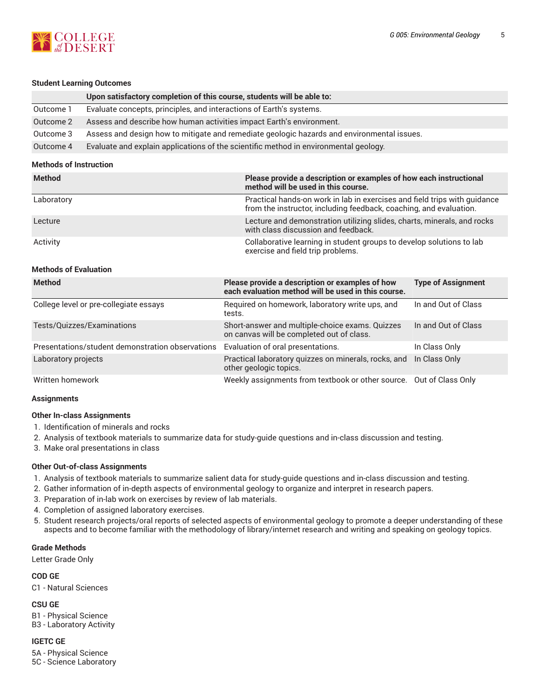

## **Student Learning Outcomes**

|           | Upon satisfactory completion of this course, students will be able to:                     |
|-----------|--------------------------------------------------------------------------------------------|
| Outcome 1 | Evaluate concepts, principles, and interactions of Earth's systems.                        |
| Outcome 2 | Assess and describe how human activities impact Earth's environment.                       |
| Outcome 3 | Assess and design how to mitigate and remediate geologic hazards and environmental issues. |
| Outcome 4 | Evaluate and explain applications of the scientific method in environmental geology.       |

## **Methods of Instruction**

| <b>Method</b> | Please provide a description or examples of how each instructional<br>method will be used in this course.                                       |
|---------------|-------------------------------------------------------------------------------------------------------------------------------------------------|
| Laboratory    | Practical hands-on work in lab in exercises and field trips with guidance<br>from the instructor, including feedback, coaching, and evaluation. |
| Lecture       | Lecture and demonstration utilizing slides, charts, minerals, and rocks<br>with class discussion and feedback.                                  |
| Activity      | Collaborative learning in student groups to develop solutions to lab<br>exercise and field trip problems.                                       |

## **Methods of Evaluation**

| <b>Method</b>                                    | Please provide a description or examples of how<br>each evaluation method will be used in this course. | <b>Type of Assignment</b> |
|--------------------------------------------------|--------------------------------------------------------------------------------------------------------|---------------------------|
| College level or pre-collegiate essays           | Required on homework, laboratory write ups, and<br>tests.                                              | In and Out of Class       |
| Tests/Quizzes/Examinations                       | Short-answer and multiple-choice exams. Quizzes<br>on canvas will be completed out of class.           | In and Out of Class       |
| Presentations/student demonstration observations | Evaluation of oral presentations.                                                                      | In Class Only             |
| Laboratory projects                              | Practical laboratory quizzes on minerals, rocks, and<br>other geologic topics.                         | In Class Only             |
| Written homework                                 | Weekly assignments from textbook or other source. Out of Class Only                                    |                           |

## **Assignments**

## **Other In-class Assignments**

- 1. Identification of minerals and rocks
- 2. Analysis of textbook materials to summarize data for study-guide questions and in-class discussion and testing.
- 3. Make oral presentations in class

## **Other Out-of-class Assignments**

- 1. Analysis of textbook materials to summarize salient data for study-guide questions and in-class discussion and testing.
- 2. Gather information of in-depth aspects of environmental geology to organize and interpret in research papers.
- 3. Preparation of in-lab work on exercises by review of lab materials.
- 4. Completion of assigned laboratory exercises.
- 5. Student research projects/oral reports of selected aspects of environmental geology to promote a deeper understanding of these aspects and to become familiar with the methodology of library/internet research and writing and speaking on geology topics.

## **Grade Methods**

Letter Grade Only

## **COD GE**

C1 - Natural Sciences

## **CSU GE**

B1 - Physical Science B3 - Laboratory Activity

## **IGETC GE**

5A - Physical Science 5C - Science Laboratory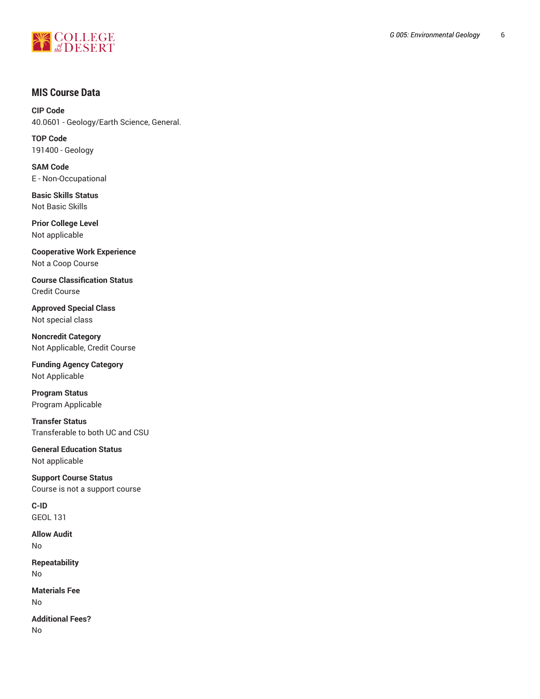

## **MIS Course Data**

**CIP Code** 40.0601 - Geology/Earth Science, General.

**TOP Code** 191400 - Geology

**SAM Code** E - Non-Occupational

**Basic Skills Status** Not Basic Skills

**Prior College Level** Not applicable

**Cooperative Work Experience** Not a Coop Course

**Course Classification Status** Credit Course

**Approved Special Class** Not special class

**Noncredit Category** Not Applicable, Credit Course

**Funding Agency Category** Not Applicable

**Program Status** Program Applicable

**Transfer Status** Transferable to both UC and CSU

**General Education Status** Not applicable

**Support Course Status** Course is not a support course

**C-ID** GEOL 131

**Allow Audit** No

**Repeatability** No

**Materials Fee** No

**Additional Fees?** No